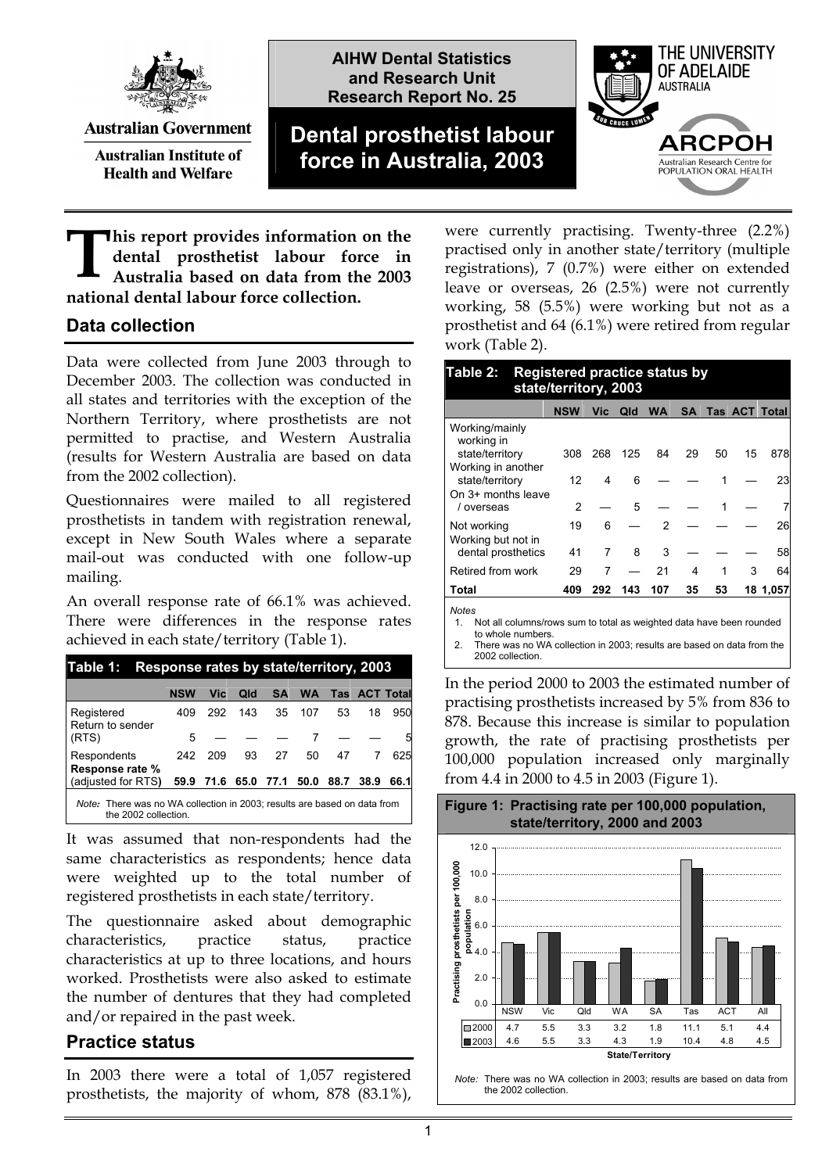

**Australian Government** 

**Australian Institute of Health and Welfare** 

**AIHW Dental Statistics and Research Unit Research Report No. 25**

# **Dental prosthetist labour force in Australia, 2003**



**his report provides information on the dental prosthetist labour force in Australia based on data from the 2003 national dental labour force collection. T**

### **Data collection**

Data were collected from June 2003 through to December 2003. The collection was conducted in all states and territories with the exception of the Northern Territory, where prosthetists are not permitted to practise, and Western Australia (results for Western Australia are based on data from the 2002 collection).

Questionnaires were mailed to all registered prosthetists in tandem with registration renewal, except in New South Wales where a separate mail-out was conducted with one follow-up mailing.

An overall response rate of 66.1% was achieved. There were differences in the response rates achieved in each state/territory (Table 1).

| Table 1:                                                                                         | Response rates by state/territory, 2003 |            |      |      |           |      |                      |      |
|--------------------------------------------------------------------------------------------------|-----------------------------------------|------------|------|------|-----------|------|----------------------|------|
|                                                                                                  | <b>NSW</b>                              | <b>Vic</b> | Qld  | SA   | <b>WA</b> |      | <b>Tas ACT Total</b> |      |
| Registered<br>Return to sender                                                                   | 409                                     | 292        | 143  | 35   | 107       | 53   | 18                   | 950  |
| (RTS)                                                                                            | 5                                       |            |      |      |           |      |                      | 5    |
| Respondents<br>Response rate %                                                                   | 242                                     | 209        | 93   | 27   | 50        | 47   |                      | 625  |
| (adjusted for RTS)                                                                               | 59.9                                    | 71.6       | 65.0 | 77.1 | 50.0      | 88.7 | 38.9                 | 66.1 |
| Note: There was no WA collection in 2003; results are based on data from<br>the 2002 collection. |                                         |            |      |      |           |      |                      |      |

It was assumed that non-respondents had the same characteristics as respondents; hence data were weighted up to the total number of registered prosthetists in each state/territory.

The questionnaire asked about demographic characteristics, practice status, practice characteristics at up to three locations, and hours worked. Prosthetists were also asked to estimate the number of dentures that they had completed and/or repaired in the past week.

#### **Practice status**

In 2003 there were a total of 1,057 registered prosthetists, the majority of whom, 878 (83.1%), were currently practising. Twenty-three (2.2%) practised only in another state/territory (multiple registrations), 7 (0.7%) were either on extended leave or overseas, 26 (2.5%) were not currently working, 58 (5.5%) were working but not as a prosthetist and 64 (6.1%) were retired from regular work (Table 2).

#### **Table 2: Registered practice status by state/territory, 2003**

|                                       | <b>NSW</b> | <b>Vic</b> | Qld | <b>WA</b> | <b>SA</b> |    |    | Tas ACT Total |
|---------------------------------------|------------|------------|-----|-----------|-----------|----|----|---------------|
| Working/mainly<br>working in          |            |            |     |           |           |    |    |               |
| state/territory                       | 308        | 268        | 125 | 84        | 29        | 50 | 15 | 878           |
| Working in another<br>state/territory | 12         | 4          | 6   |           |           |    |    | 23            |
| On 3+ months leave<br>/ overseas      | 2          |            | 5   |           |           |    |    |               |
| Not working<br>Working but not in     | 19         | 6          |     | 2         |           |    |    | 26            |
| dental prosthetics                    | 41         | 7          | 8   | 3         |           |    |    | 58            |
| Retired from work                     | 29         |            |     | 21        | 4         |    | 3  | 64            |
| Total                                 | 409        | 292        | 143 | 107       | 35        | 53 |    | 18 1,057      |
| <b>Notes</b>                          |            |            |     |           |           |    |    |               |

1. Not all columns/rows sum to total as weighted data have been rounded

to whole numbers. 2. There was no WA collection in 2003; results are based on data from the 2002 collection.

In the period 2000 to 2003 the estimated number of practising prosthetists increased by 5% from 836 to 878. Because this increase is similar to population growth, the rate of practising prosthetists per 100,000 population increased only marginally from 4.4 in 2000 to 4.5 in 2003 (Figure 1).



*Note:* There was no WA collection in 2003; results are based on data from the 2002 collection.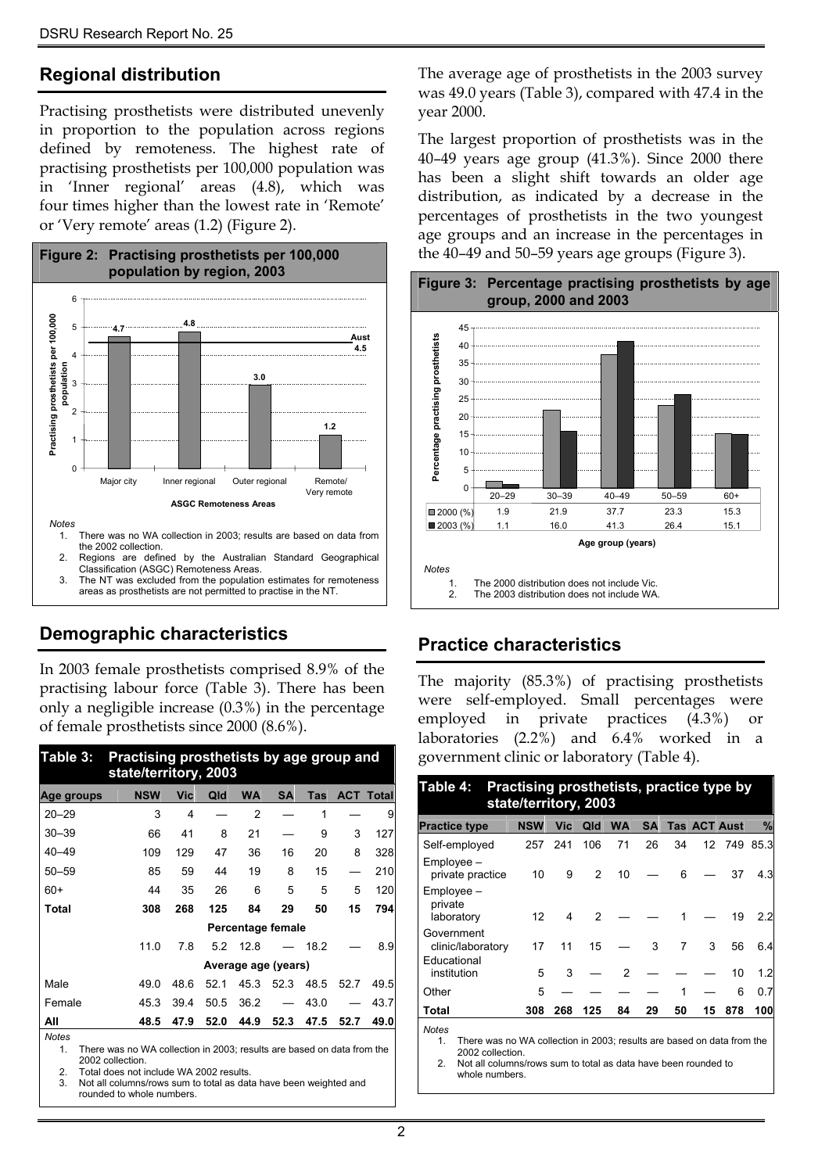## **Regional distribution**

Practising prosthetists were distributed unevenly in proportion to the population across regions defined by remoteness. The highest rate of practising prosthetists per 100,000 population was in 'Inner regional' areas (4.8), which was four times higher than the lowest rate in 'Remote' or 'Very remote' areas (1.2) (Figure 2).



Classification (ASGC) Remoteness Areas. 3. The NT was excluded from the population estimates for remoteness areas as prosthetists are not permitted to practise in the NT.

## **Demographic characteristics**

In 2003 female prosthetists comprised 8.9% of the practising labour force (Table 3). There has been only a negligible increase (0.3%) in the percentage of female prosthetists since 2000 (8.6%).

| Table 3:          | Practising prosthetists by age group and<br>state/territory, 2003       |      |      |           |                     |      |      |                  |
|-------------------|-------------------------------------------------------------------------|------|------|-----------|---------------------|------|------|------------------|
| Age groups        | <b>NSW</b>                                                              | Vic  | Qld  | <b>WA</b> | <b>SA</b>           | Tas  |      | <b>ACT Total</b> |
| $20 - 29$         | 3                                                                       | 4    |      | 2         |                     | 1    |      | 9                |
| $30 - 39$         | 66                                                                      | 41   | 8    | 21        |                     | 9    | 3    | 127              |
| $40 - 49$         | 109                                                                     | 129  | 47   | 36        | 16                  | 20   | 8    | 328              |
| $50 - 59$         | 85                                                                      | 59   | 44   | 19        | 8                   | 15   |      | 210              |
| 60+               | 44                                                                      | 35   | 26   | 6         | 5                   | 5    | 5    | 120              |
| Total             | 308                                                                     | 268  | 125  | 84        | 29                  | 50   | 15   | 794              |
|                   |                                                                         |      |      |           | Percentage female   |      |      |                  |
|                   | 11.0                                                                    | 7.8  | 5.2  | 12.8      |                     | 18.2 |      | 8.9              |
|                   |                                                                         |      |      |           | Average age (years) |      |      |                  |
| Male              | 49.0                                                                    | 48.6 | 52.1 | 45.3      | 52.3                | 48.5 | 52.7 | 49.5             |
| Female            | 45.3                                                                    | 39.4 | 50.5 | 36.2      |                     | 43.0 |      | 43.7             |
| All               | 48.5                                                                    | 47.9 | 52.0 | 44.9      | 52.3                | 47.5 | 52.7 | 49.0             |
| <b>Notes</b><br>4 | There was no WA collection in 2002; require are becade on data from the |      |      |           |                     |      |      |                  |

1. There was no WA collection in 2003; results are based on data from the 2002 collection.

2. Total does not include WA 2002 results.<br>3. Not all columns/rows sum to total as date

Not all columns/rows sum to total as data have been weighted and rounded to whole numbers.

The average age of prosthetists in the 2003 survey was 49.0 years (Table 3), compared with 47.4 in the year 2000.

The largest proportion of prosthetists was in the 40–49 years age group (41.3%). Since 2000 there has been a slight shift towards an older age distribution, as indicated by a decrease in the percentages of prosthetists in the two youngest age groups and an increase in the percentages in the 40–49 and 50–59 years age groups (Figure 3).



#### **Figure 3: Percentage practising prosthetists by age group, 2000 and 2003**

## **Practice characteristics**

The majority (85.3%) of practising prosthetists were self-employed. Small percentages were employed in private practices (4.3%) or laboratories (2.2%) and 6.4% worked in a government clinic or laboratory (Table 4).

| Practising prosthetists, practice type by<br>Table 4:<br>state/territory, 2003                                  |            |     |     |           |           |    |                     |     |      |  |
|-----------------------------------------------------------------------------------------------------------------|------------|-----|-----|-----------|-----------|----|---------------------|-----|------|--|
| <b>Practice type</b>                                                                                            | <b>NSW</b> | Vic | Qld | <b>WA</b> | <b>SA</b> |    | <b>Tas ACT Aust</b> |     | %    |  |
| Self-employed                                                                                                   | 257        | 241 | 106 | 71        | 26        | 34 | 12                  | 749 | 85.3 |  |
| $Emplovee -$<br>private practice                                                                                | 10         | 9   | 2   | 10        |           | 6  |                     | 37  | 4.3  |  |
| Employee -<br>private<br>laboratory                                                                             | 12         | 4   | 2   |           |           |    |                     | 19  | 2.2  |  |
| Government<br>clinic/laboratory<br>Educational                                                                  | 17         | 11  | 15  |           | 3         | 7  | 3                   | 56  | 6.4  |  |
| institution                                                                                                     | 5          | 3   |     | 2         |           |    |                     | 10  | 1.2  |  |
| Other                                                                                                           | 5          |     |     |           |           | 1  |                     | 6   | 0.7  |  |
| Total                                                                                                           | 308        | 268 | 125 | 84        | 29        | 50 | 15                  | 878 | 100  |  |
| <b>Notes</b><br>There was no WA collection in 2003; results are based on data from the<br>1.<br>2002 collection |            |     |     |           |           |    |                     |     |      |  |

2. Not all columns/rows sum to total as data have been rounded to whole numbers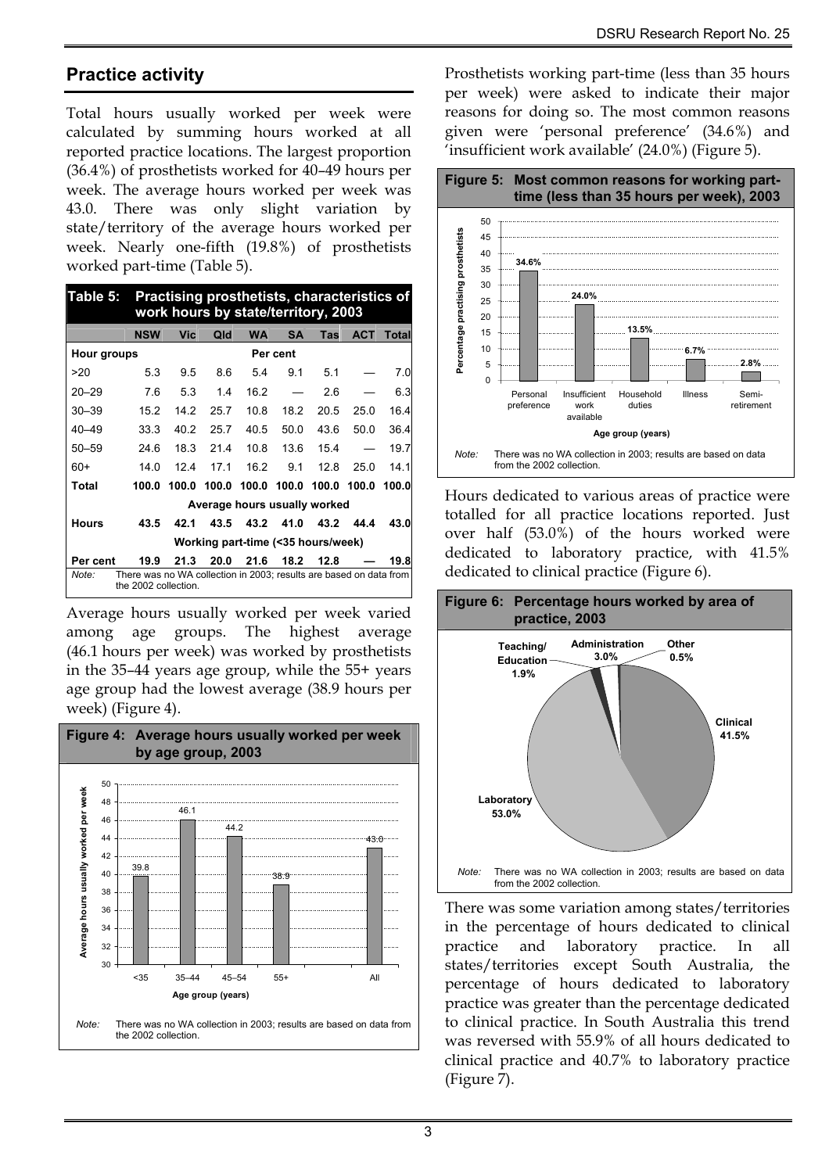### **Practice activity**

Total hours usually worked per week were calculated by summing hours worked at all reported practice locations. The largest proportion (36.4%) of prosthetists worked for 40–49 hours per week. The average hours worked per week was 43.0. There was only slight variation by state/territory of the average hours worked per week. Nearly one-fifth (19.8%) of prosthetists worked part-time (Table 5).

| Table 5:                                                                                            |            | Practising prosthetists, characteristics of<br>work hours by state/territory, 2003 |       |                              |           |       |            |       |  |  |  |
|-----------------------------------------------------------------------------------------------------|------------|------------------------------------------------------------------------------------|-------|------------------------------|-----------|-------|------------|-------|--|--|--|
|                                                                                                     | <b>NSW</b> | Vic                                                                                | Qld   | <b>WA</b>                    | <b>SA</b> | Tas   | <b>ACT</b> | Total |  |  |  |
| Hour groups<br>Per cent                                                                             |            |                                                                                    |       |                              |           |       |            |       |  |  |  |
| >20                                                                                                 | 5.3        | 9.5                                                                                | 8.6   | 5.4                          | 9.1       | 5.1   |            | 7.0   |  |  |  |
| $20 - 29$                                                                                           | 7.6        | 5.3                                                                                | 1.4   | 16.2                         |           | 2.6   |            | 6.3   |  |  |  |
| $30 - 39$                                                                                           | 15.2       | 14.2                                                                               | 25.7  | 10.8                         | 18.2      | 20.5  | 25.0       | 16.4  |  |  |  |
| $40 - 49$                                                                                           | 33.3       | 40.2                                                                               | 25.7  | 40.5                         | 50.0      | 43.6  | 50.0       | 36.4  |  |  |  |
| $50 - 59$                                                                                           | 24.6       | 18.3                                                                               | 21.4  | 10.8                         | 13.6      | 15.4  |            | 19.7  |  |  |  |
| $60+$                                                                                               | 14.0       | 12.4                                                                               | 171   | 16.2                         | 9.1       | 12.8  | 25.0       | 14.1  |  |  |  |
| Total                                                                                               | 100.0      | 100.0                                                                              | 100.0 | 100.0                        | 100.0     | 100.0 | 100.0      | 100.0 |  |  |  |
|                                                                                                     |            |                                                                                    |       | Average hours usually worked |           |       |            |       |  |  |  |
| Hours                                                                                               | 43.5       | 42.1                                                                               | 43.5  | 43.2                         | 41.0      | 43.2  | 44.4       | 43.0  |  |  |  |
| Working part-time (<35 hours/week)                                                                  |            |                                                                                    |       |                              |           |       |            |       |  |  |  |
| Per cent                                                                                            | 19.9       | 21.3                                                                               | 20.0  | 21.6                         | 18.2      | 12.8  |            | 19.8  |  |  |  |
| There was no WA collection in 2003; results are based on data from<br>Note:<br>the 2002 collection. |            |                                                                                    |       |                              |           |       |            |       |  |  |  |

Average hours usually worked per week varied among age groups. The highest average (46.1 hours per week) was worked by prosthetists in the 35–44 years age group, while the 55+ years age group had the lowest average (38.9 hours per week) (Figure 4).



Prosthetists working part-time (less than 35 hours per week) were asked to indicate their major reasons for doing so. The most common reasons given were 'personal preference' (34.6%) and 'insufficient work available' (24.0%) (Figure 5).



Hours dedicated to various areas of practice were totalled for all practice locations reported. Just over half (53.0%) of the hours worked were dedicated to laboratory practice, with 41.5% dedicated to clinical practice (Figure 6).



There was some variation among states/territories in the percentage of hours dedicated to clinical practice and laboratory practice. In all states/territories except South Australia, the percentage of hours dedicated to laboratory practice was greater than the percentage dedicated to clinical practice. In South Australia this trend was reversed with 55.9% of all hours dedicated to clinical practice and 40.7% to laboratory practice (Figure 7).